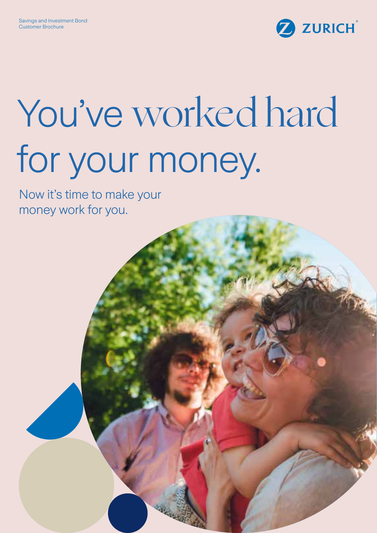

# You've worked hard for your money.

Now it's time to make your money work for you.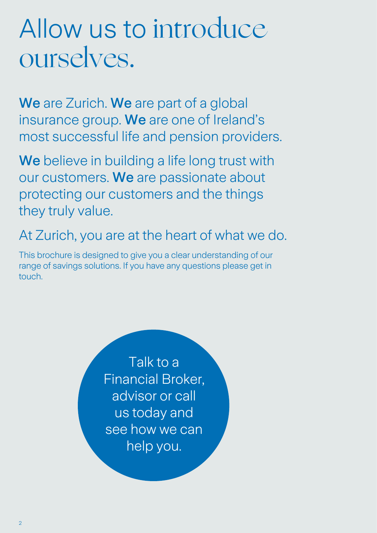### Allow us to introduce ourselves.

We are Zurich. We are part of a global insurance group. We are one of Ireland's most successful life and pension providers.

We believe in building a life long trust with our customers. We are passionate about protecting our customers and the things they truly value.

At Zurich, you are at the heart of what we do.

This brochure is designed to give you a clear understanding of our range of savings solutions. If you have any questions please get in touch.

> Talk to a Financial Broker, advisor or call us today and see how we can help you.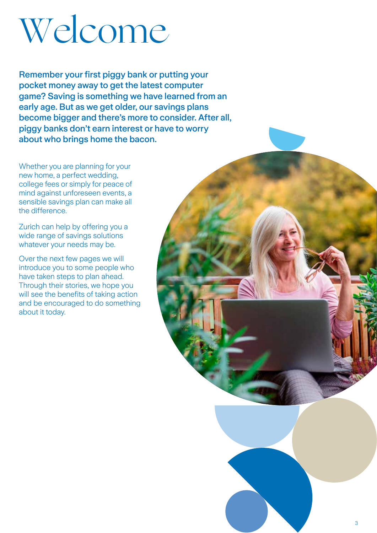# Welcome

Remember your first piggy bank or putting your pocket money away to get the latest computer game? Saving is something we have learned from an early age. But as we get older, our savings plans become bigger and there's more to consider. After all, piggy banks don't earn interest or have to worry about who brings home the bacon.

Whether you are planning for your new home, a perfect wedding, college fees or simply for peace of mind against unforeseen events, a sensible savings plan can make all the difference.

Zurich can help by offering you a wide range of savings solutions whatever your needs may be.

Over the next few pages we will introduce you to some people who have taken steps to plan ahead. Through their stories, we hope you will see the benefits of taking action and be encouraged to do something about it today.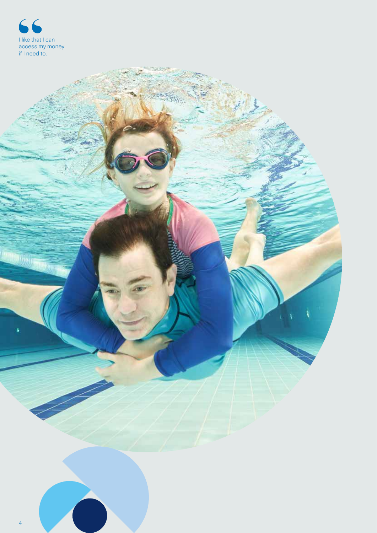

**THUJ** DE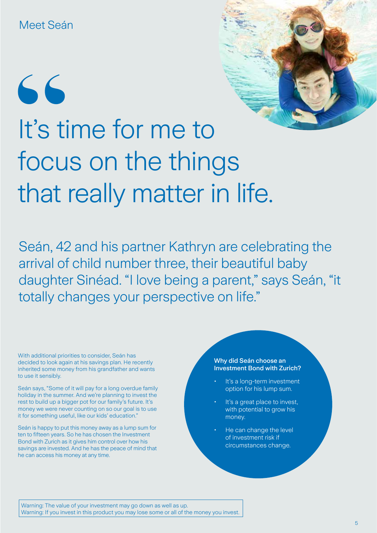# 66 It's time for me to focus on the things that really matter in life.

Seán, 42 and his partner Kathryn are celebrating the arrival of child number three, their beautiful baby daughter Sinéad. "I love being a parent," says Seán, "it totally changes your perspective on life."

With additional priorities to consider, Seán has decided to look again at his savings plan. He recently inherited some money from his grandfather and wants to use it sensibly.

Seán says, "Some of it will pay for a long overdue family holiday in the summer. And we're planning to invest the rest to build up a bigger pot for our family's future. It's money we were never counting on so our goal is to use it for something useful, like our kids' education."

Seán is happy to put this money away as a lump sum for ten to fifteen years. So he has chosen the Investment Bond with Zurich as it gives him control over how his savings are invested. And he has the peace of mind that he can access his money at any time.

#### Why did Seán choose an Investment Bond with Zurich?

- It's a long-term investment option for his lump sum.
- It's a great place to invest, with potential to grow his money.
- He can change the level of investment risk if circumstances change.

Warning: The value of your investment may go down as well as up. Warning: If you invest in this product you may lose some or all of the money you invest.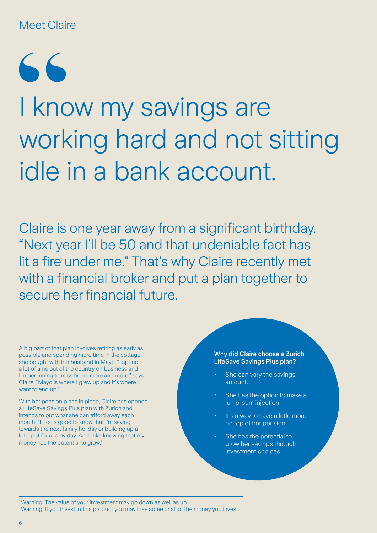### Meet Claire

 $66$ 

## I know my savings are working hard and not sitting idle in a bank account.

Claire is one year away from a significant birthday. "Next year I'll be 50 and that undeniable fact has lit a fire under me." That's why Claire recently met with a financial broker and put a plan together to secure her financial future.

A big part of that plan involves retiring as early as possible and spending more time in the cottage she bought with her husband in Mayo. "I spend a lot of time out of the country on business and I'm beginning to miss home more and more," says Claire. "Mayo is where I grew up and it's where I want to end up."

With her pension plans in place, Claire has opened a LifeSave Savings Plus plan with Zurich and intends to put what she can afford away each month. "It feels good to know that I'm saving towards the next family holiday or building up a little pot for a rainy day. And I like knowing that my money has the potential to grow."

#### Why did Claire choose a Zurich LifeSave Savings Plus plan?

- She can vary the savings amount.
- She has the option to make a lump-sum injection.
- It's a way to save a little more on top of her pension.
- She has the potential to grow her savings through investment choices.

Warning: The value of your investment may go down as well as up. Warning: If you invest in this product you may lose some or all of the money you invest.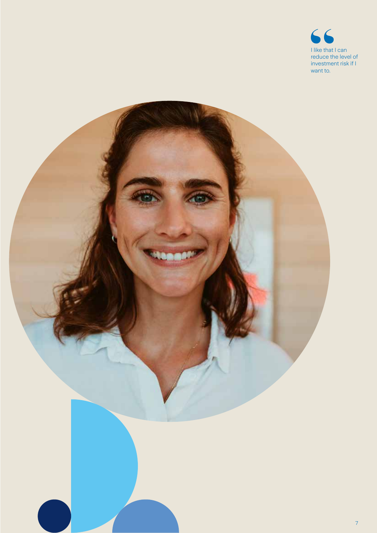

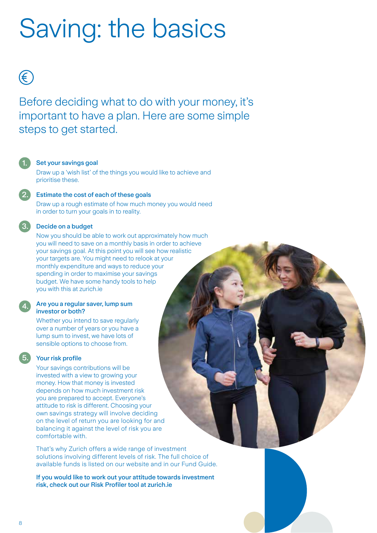### Saving: the basics

### €

Before deciding what to do with your money, it's important to have a plan. Here are some simple steps to get started.

#### Set your savings goal

Draw up a 'wish list' of the things you would like to achieve and prioritise these.

#### 2.

3.

4.

5.

1.

#### Estimate the cost of each of these goals

Draw up a rough estimate of how much money you would need in order to turn your goals in to reality.

#### Decide on a budget

Now you should be able to work out approximately how much you will need to save on a monthly basis in order to achieve your savings goal. At this point you will see how realistic your targets are. You might need to relook at your monthly expenditure and ways to reduce your spending in order to maximise your savings budget. We have some handy tools to help you with this at zurich.ie

#### Are you a regular saver, lump sum investor or both?

Whether you intend to save regularly over a number of years or you have a lump sum to invest, we have lots of sensible options to choose from.

#### Your risk profile

Your savings contributions will be invested with a view to growing your money. How that money is invested depends on how much investment risk you are prepared to accept. Everyone's attitude to risk is different. Choosing your own savings strategy will involve deciding on the level of return you are looking for and balancing it against the level of risk you are comfortable with.

That's why Zurich offers a wide range of investment solutions involving different levels of risk. The full choice of available funds is listed on our website and in our Fund Guide.

If you would like to work out your attitude towards investment risk, check out our Risk Profiler tool at zurich.ie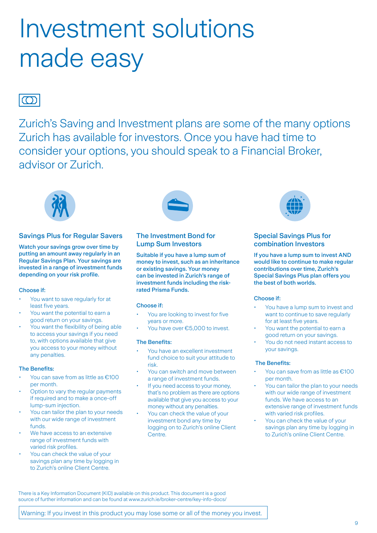### Investment solutions made easy

### $\bigcap$

Zurich's Saving and Investment plans are some of the many options Zurich has available for investors. Once you have had time to consider your options, you should speak to a Financial Broker, advisor or Zurich.



#### Savings Plus for Regular Savers

Watch your savings grow over time by putting an amount away regularly in an Regular Savings Plan. Your savings are invested in a range of investment funds depending on your risk profile.

#### Choose if:

- You want to save regularly for at least five years.
- You want the potential to earn a good return on your savings.
- You want the flexibility of being able to access your savings if you need to, with options available that give you access to your money without any penalties.

#### The Benefits:

- You can save from as little as €100 per month.
- Option to vary the regular payments if required and to make a once-off lump-sum injection.
- You can tailor the plan to your needs with our wide range of investment funds.
- We have access to an extensive range of investment funds with varied risk profiles.
- You can check the value of your savings plan any time by logging in to Zurich's online Client Centre.



#### The Investment Bond for Lump Sum Investors

Suitable if you have a lump sum of money to invest, such as an inheritance or existing savings. Your money can be invested in Zurich's range of investment funds including the riskrated Prisma Funds.

#### Choose if:

- You are looking to invest for five years or more.
- You have over €5,000 to invest.

#### The Benefits:

- You have an excellent investment fund choice to suit your attitude to risk.
- You can switch and move between a range of investment funds.
- If you need access to your money. that's no problem as there are options available that give you access to your money without any penalties.
- You can check the value of your investment bond any time by logging on to Zurich's online Client Centre.



#### Special Savings Plus for combination Investors

If you have a lump sum to invest AND would like to continue to make regular contributions over time, Zurich's Special Savings Plus plan offers you the best of both worlds.

#### Choose if:

- You have a lump sum to invest and want to continue to save regularly for at least five years.
- You want the potential to earn a good return on your savings.
- You do not need instant access to your savings.

#### The Benefits:

- You can save from as little as €100 per month.
- You can tailor the plan to your needs with our wide range of investment funds. We have access to an extensive range of investment funds with varied risk profiles.
- You can check the value of your savings plan any time by logging in to Zurich's online Client Centre.

There is a Key Information Document (KID) available on this product. This document is a good source of further information and can be found at www.zurich.ie/broker-centre/key-info-docs/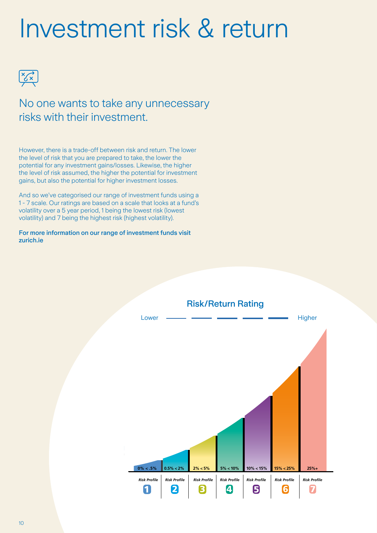### Investment risk & return



No one wants to take any unnecessary risks with their investment.

However, there is a trade-off between risk and return. The lower the level of risk that you are prepared to take, the lower the potential for any investment gains/losses. Likewise, the higher the level of risk assumed, the higher the potential for investment gains, but also the potential for higher investment losses.

And so we've categorised our range of investment funds using a 1 - 7 scale. Our ratings are based on a scale that looks at a fund's volatility over a 5 year period, 1 being the lowest risk (lowest volatility) and 7 being the highest risk (highest volatility).

#### For more information on our range of investment funds visit zurich.ie

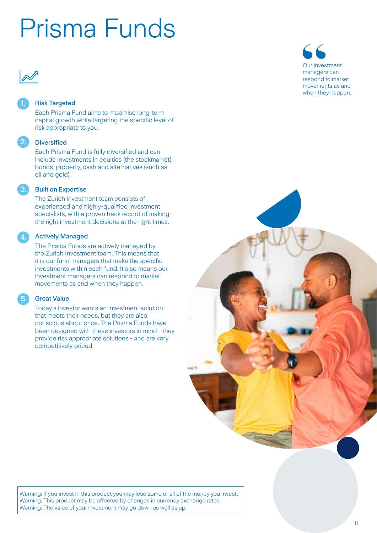### Prisma Funds



2.

3.

4.

5.

#### Risk Targeted

Each Prisma Fund aims to maximise long-term capital growth while targeting the specific level of risk appropriate to you.

#### **Diversified**

Each Prisma Fund is fully diversified and can include investments in equities (the stockmarket), bonds, property, cash and alternatives (such as oil and gold).

#### Built on Expertise

The Zurich investment team consists of experienced and highly-qualified investment specialists, with a proven track record of making the right investment decisions at the right times.

#### Actively Managed

The Prisma Funds are actively managed by the Zurich Investment team. This means that it is our fund managers that make the specific investments within each fund. It also means our investment managers can respond to market movements as and when they happen.

#### Great Value

Today's investor wants an investment solution that meets their needs, but they are also conscious about price. The Prisma Funds have been designed with these investors in mind - they provide risk appropriate solutions - and are very competitively priced.





Warning: If you invest in this product you may lose some or all of the money you invest. Warning: This product may be affected by changes in currency exchange rates. Warning: The value of your investment may go down as well as up.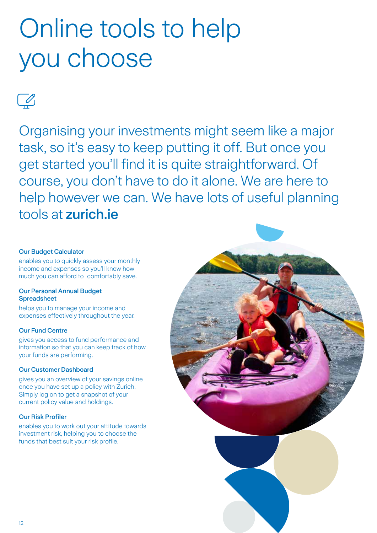### Online tools to help you choose

 $\boxed{\triangle}$ 

Organising your investments might seem like a major task, so it's easy to keep putting it off. But once you get started you'll find it is quite straightforward. Of course, you don't have to do it alone. We are here to help however we can. We have lots of useful planning tools at zurich.ie

#### Our Budget Calculator

enables you to quickly assess your monthly income and expenses so you'll know how much you can afford to comfortably save.

#### Our Personal Annual Budget **Spreadsheet**

helps you to manage your income and expenses effectively throughout the year.

#### Our Fund Centre

gives you access to fund performance and information so that you can keep track of how your funds are performing.

#### Our Customer Dashboard

gives you an overview of your savings online once you have set up a policy with Zurich. Simply log on to get a snapshot of your current policy value and holdings.

#### Our Risk Profiler

enables you to work out your attitude towards investment risk, helping you to choose the funds that best suit your risk profile.

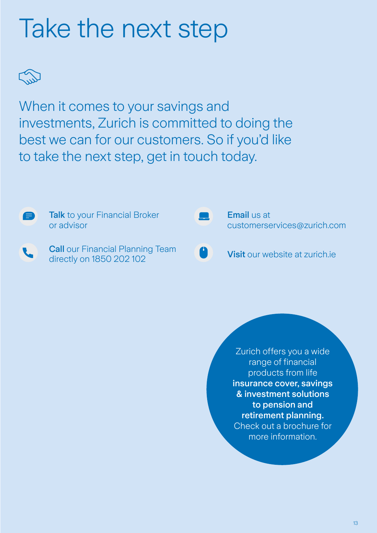### Take the next step



When it comes to your savings and investments, Zurich is committed to doing the best we can for our customers. So if you'd like to take the next step, get in touch today.



Zurich offers you a wide range of financial products from life insurance cover, savings & investment solutions to pension and retirement planning. Check out a brochure for more information.